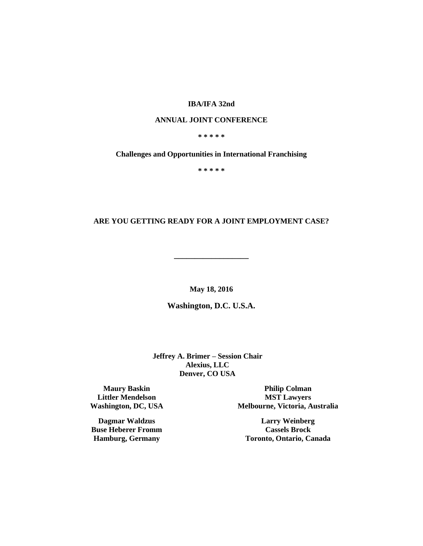## **IBA/IFA 32nd**

### **ANNUAL JOINT CONFERENCE**

## **\* \* \* \* \***

### **Challenges and Opportunities in International Franchising**

**\* \* \* \* \***

## **ARE YOU GETTING READY FOR A JOINT EMPLOYMENT CASE?**

**\_\_\_\_\_\_\_\_\_\_\_\_\_\_\_\_\_\_**

**May 18, 2016**

**Washington, D.C. U.S.A.**

**Jeffrey A. Brimer – Session Chair Alexius, LLC Denver, CO USA**

**Maury Baskin Littler Mendelson Washington, DC, USA**

**Dagmar Waldzus Buse Heberer Fromm Hamburg, Germany**

**Philip Colman MST Lawyers Melbourne, Victoria, Australia**

**Larry Weinberg Cassels Brock Toronto, Ontario, Canada**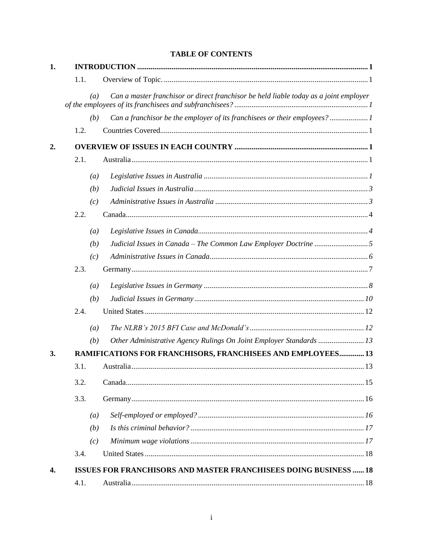| 1. |                  |                                                                                       |
|----|------------------|---------------------------------------------------------------------------------------|
|    | 1.1.             |                                                                                       |
|    | (a)              | Can a master franchisor or direct franchisor be held liable today as a joint employer |
|    | (b)              | Can a franchisor be the employer of its franchisees or their employees?1              |
|    | 1.2.             |                                                                                       |
| 2. |                  |                                                                                       |
|    | 2.1.             |                                                                                       |
|    | (a)              |                                                                                       |
|    | (b)              |                                                                                       |
|    | (c)              |                                                                                       |
|    | 2.2.             |                                                                                       |
|    | $\left(a\right)$ |                                                                                       |
|    | (b)              |                                                                                       |
|    | (c)              |                                                                                       |
|    | 2.3.             |                                                                                       |
|    | $\left(a\right)$ |                                                                                       |
|    | (b)              |                                                                                       |
|    | 2.4.             |                                                                                       |
|    | (a)              |                                                                                       |
|    | (b)              | Other Administrative Agency Rulings On Joint Employer Standards  13                   |
| 3. |                  | <b>RAMIFICATIONS FOR FRANCHISORS, FRANCHISEES AND EMPLOYEES 13</b>                    |
|    | 3.1.             |                                                                                       |
|    | 3.2.             |                                                                                       |
|    | 3.3.             |                                                                                       |
|    | $\left(a\right)$ |                                                                                       |
|    | (b)              |                                                                                       |
|    | (c)              |                                                                                       |
|    | 3.4.             |                                                                                       |
| 4. |                  | <b>ISSUES FOR FRANCHISORS AND MASTER FRANCHISEES DOING BUSINESS  18</b>               |
|    | 4.1.             |                                                                                       |

# **TABLE OF CONTENTS**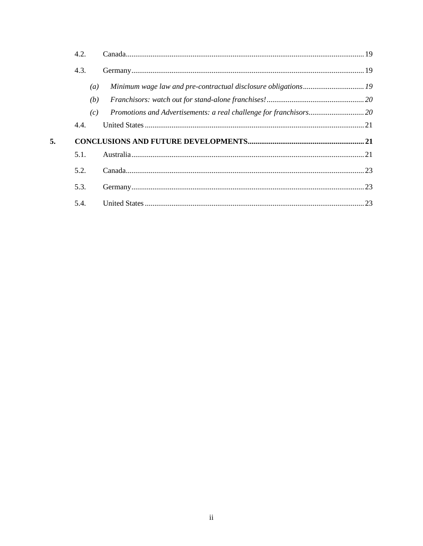|    | 4.2. |  |
|----|------|--|
|    | 4.3. |  |
|    | (a)  |  |
|    | (b)  |  |
|    | (c)  |  |
|    | 4.4. |  |
| 5. |      |  |
|    | 5.1. |  |
|    | 5.2. |  |
|    | 5.3. |  |
|    | 5.4. |  |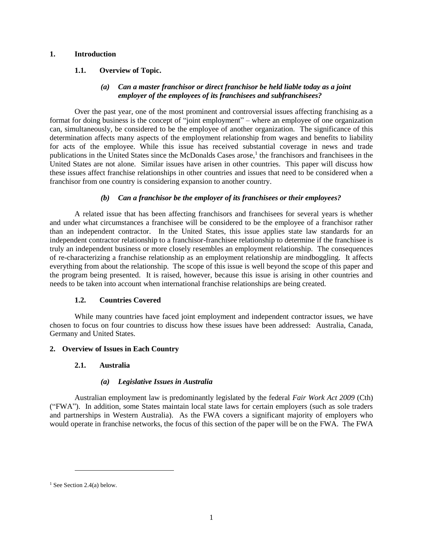## **1. Introduction**

## **1.1. Overview of Topic.**

## *(a) Can a master franchisor or direct franchisor be held liable today as a joint employer of the employees of its franchisees and subfranchisees?*

Over the past year, one of the most prominent and controversial issues affecting franchising as a format for doing business is the concept of "joint employment" – where an employee of one organization can, simultaneously, be considered to be the employee of another organization. The significance of this determination affects many aspects of the employment relationship from wages and benefits to liability for acts of the employee. While this issue has received substantial coverage in news and trade publications in the United States since the McDonalds Cases arose,<sup>1</sup> the franchisors and franchisees in the United States are not alone. Similar issues have arisen in other countries. This paper will discuss how these issues affect franchise relationships in other countries and issues that need to be considered when a franchisor from one country is considering expansion to another country.

## *(b) Can a franchisor be the employer of its franchisees or their employees?*

A related issue that has been affecting franchisors and franchisees for several years is whether and under what circumstances a franchisee will be considered to be the employee of a franchisor rather than an independent contractor. In the United States, this issue applies state law standards for an independent contractor relationship to a franchisor-franchisee relationship to determine if the franchisee is truly an independent business or more closely resembles an employment relationship. The consequences of re-characterizing a franchise relationship as an employment relationship are mindboggling. It affects everything from about the relationship. The scope of this issue is well beyond the scope of this paper and the program being presented. It is raised, however, because this issue is arising in other countries and needs to be taken into account when international franchise relationships are being created.

## **1.2. Countries Covered**

While many countries have faced joint employment and independent contractor issues, we have chosen to focus on four countries to discuss how these issues have been addressed: Australia, Canada, Germany and United States.

## **2. Overview of Issues in Each Country**

#### **2.1. Australia**

## *(a) Legislative Issues in Australia*

Australian employment law is predominantly legislated by the federal *Fair Work Act 2009* (Cth) ("FWA"). In addition, some States maintain local state laws for certain employers (such as sole traders and partnerships in Western Australia). As the FWA covers a significant majority of employers who would operate in franchise networks, the focus of this section of the paper will be on the FWA. The FWA

<sup>&</sup>lt;sup>1</sup> See Sectio[n 2.4\(a\)](#page-14-0) below.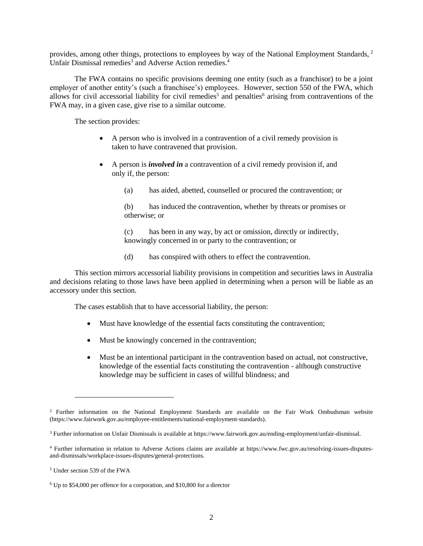provides, among other things, protections to employees by way of the National Employment Standards, <sup>2</sup> Unfair Dismissal remedies<sup>3</sup> and Adverse Action remedies.<sup>4</sup>

The FWA contains no specific provisions deeming one entity (such as a franchisor) to be a joint employer of another entity's (such a franchisee's) employees. However, section 550 of the FWA, which allows for civil accessorial liability for civil remedies<sup>5</sup> and penalties<sup>6</sup> arising from contraventions of the FWA may, in a given case, give rise to a similar outcome.

The section provides:

- A person who is involved in a contravention of a civil remedy provision is taken to have contravened that provision.
- A person is *involved in* a contravention of a civil remedy provision if, and only if, the person:
	- (a) has aided, abetted, counselled or procured the contravention; or

(b) has induced the contravention, whether by threats or promises or otherwise; or

(c) has been in any way, by act or omission, directly or indirectly, knowingly concerned in or party to the contravention; or

(d) has conspired with others to effect the contravention.

This section mirrors accessorial liability provisions in competition and securities laws in Australia and decisions relating to those laws have been applied in determining when a person will be liable as an accessory under this section.

The cases establish that to have accessorial liability, the person:

- Must have knowledge of the essential facts constituting the contravention;
- Must be knowingly concerned in the contravention;
- Must be an intentional participant in the contravention based on actual, not constructive, knowledge of the essential facts constituting the contravention - although constructive knowledge may be sufficient in cases of willful blindness; and

<sup>2</sup> Further information on the National Employment Standards are available on the Fair Work Ombudsman website (https://www.fairwork.gov.au/employee-entitlements/national-employment-standards).

<sup>3</sup> Further information on Unfair Dismissals is available at https://www.fairwork.gov.au/ending-employment/unfair-dismissal.

<sup>4</sup> Further information in relation to Adverse Actions claims are available at https://www.fwc.gov.au/resolving-issues-disputesand-dismissals/workplace-issues-disputes/general-protections.

<sup>5</sup> Under section 539 of the FWA

<sup>6</sup> Up to \$54,000 per offence for a corporation, and \$10,800 for a director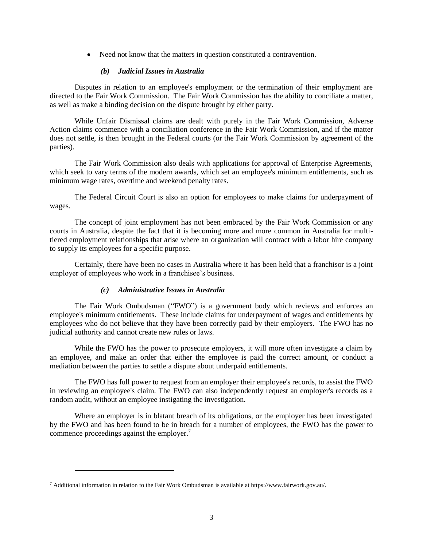• Need not know that the matters in question constituted a contravention.

### *(b) Judicial Issues in Australia*

Disputes in relation to an employee's employment or the termination of their employment are directed to the Fair Work Commission. The Fair Work Commission has the ability to conciliate a matter, as well as make a binding decision on the dispute brought by either party.

While Unfair Dismissal claims are dealt with purely in the Fair Work Commission, Adverse Action claims commence with a conciliation conference in the Fair Work Commission, and if the matter does not settle, is then brought in the Federal courts (or the Fair Work Commission by agreement of the parties).

The Fair Work Commission also deals with applications for approval of Enterprise Agreements, which seek to vary terms of the modern awards, which set an employee's minimum entitlements, such as minimum wage rates, overtime and weekend penalty rates.

The Federal Circuit Court is also an option for employees to make claims for underpayment of wages.

The concept of joint employment has not been embraced by the Fair Work Commission or any courts in Australia, despite the fact that it is becoming more and more common in Australia for multitiered employment relationships that arise where an organization will contract with a labor hire company to supply its employees for a specific purpose.

Certainly, there have been no cases in Australia where it has been held that a franchisor is a joint employer of employees who work in a franchisee's business.

## *(c) Administrative Issues in Australia*

The Fair Work Ombudsman ("FWO") is a government body which reviews and enforces an employee's minimum entitlements. These include claims for underpayment of wages and entitlements by employees who do not believe that they have been correctly paid by their employers. The FWO has no judicial authority and cannot create new rules or laws.

While the FWO has the power to prosecute employers, it will more often investigate a claim by an employee, and make an order that either the employee is paid the correct amount, or conduct a mediation between the parties to settle a dispute about underpaid entitlements.

The FWO has full power to request from an employer their employee's records, to assist the FWO in reviewing an employee's claim. The FWO can also independently request an employer's records as a random audit, without an employee instigating the investigation.

Where an employer is in blatant breach of its obligations, or the employer has been investigated by the FWO and has been found to be in breach for a number of employees, the FWO has the power to commence proceedings against the employer.<sup>7</sup>

<sup>7</sup> Additional information in relation to the Fair Work Ombudsman is available at https://www.fairwork.gov.au/.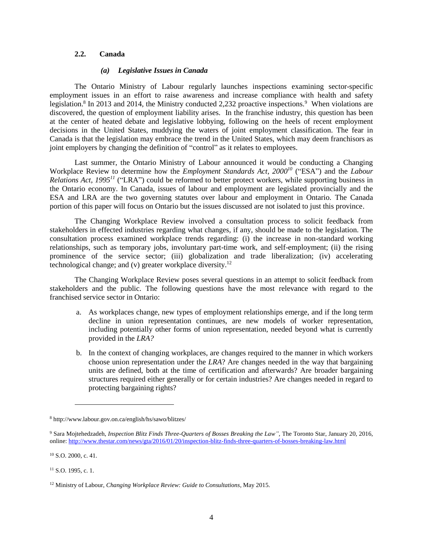#### **2.2. Canada**

#### *(a) Legislative Issues in Canada*

The Ontario Ministry of Labour regularly launches inspections examining sector-specific employment issues in an effort to raise awareness and increase compliance with health and safety legislation.<sup>8</sup> In 2013 and 2014, the Ministry conducted 2,232 proactive inspections.<sup>9</sup> When violations are discovered, the question of employment liability arises. In the franchise industry, this question has been at the center of heated debate and legislative lobbying, following on the heels of recent employment decisions in the United States, muddying the waters of joint employment classification. The fear in Canada is that the legislation may embrace the trend in the United States, which may deem franchisors as joint employers by changing the definition of "control" as it relates to employees.

Last summer, the Ontario Ministry of Labour announced it would be conducting a Changing Workplace Review to determine how the *Employment Standards Act, 2000 <sup>10</sup>* ("ESA") and the *Labour Relations Act, 1995<sup>11</sup>* ("LRA") could be reformed to better protect workers, while supporting business in the Ontario economy. In Canada, issues of labour and employment are legislated provincially and the ESA and LRA are the two governing statutes over labour and employment in Ontario. The Canada portion of this paper will focus on Ontario but the issues discussed are not isolated to just this province.

The Changing Workplace Review involved a consultation process to solicit feedback from stakeholders in effected industries regarding what changes, if any, should be made to the legislation. The consultation process examined workplace trends regarding: (i) the increase in non-standard working relationships, such as temporary jobs, involuntary part-time work, and self-employment; (ii) the rising prominence of the service sector; (iii) globalization and trade liberalization; (iv) accelerating technological change; and (v) greater workplace diversity. $12$ 

The Changing Workplace Review poses several questions in an attempt to solicit feedback from stakeholders and the public. The following questions have the most relevance with regard to the franchised service sector in Ontario:

- a. As workplaces change, new types of employment relationships emerge, and if the long term decline in union representation continues, are new models of worker representation, including potentially other forms of union representation, needed beyond what is currently provided in the *LRA?*
- b. In the context of changing workplaces, are changes required to the manner in which workers choose union representation under the *LRA*? Are changes needed in the way that bargaining units are defined, both at the time of certification and afterwards? Are broader bargaining structures required either generally or for certain industries? Are changes needed in regard to protecting bargaining rights?

 $\overline{a}$ 

<sup>8</sup> http://www.labour.gov.on.ca/english/hs/sawo/blitzes/

<sup>9</sup> Sara Mojtehedzadeh, *Inspection Blitz Finds Three-Quarters of Bosses Breaking the Law",* The Toronto Star, January 20, 2016, online[: http://www.thestar.com/news/gta/2016/01/20/inspection-blitz-finds-three-quarters-of-bosses-breaking-law.html](http://www.thestar.com/news/gta/2016/01/20/inspection-blitz-finds-three-quarters-of-bosses-breaking-law.html)

<sup>10</sup> S.O. 2000, c. 41.

<sup>&</sup>lt;sup>11</sup> S.O. 1995, c. 1.

<sup>12</sup> Ministry of Labour, *Changing Workplace Review: Guide to Consultations*, May 2015.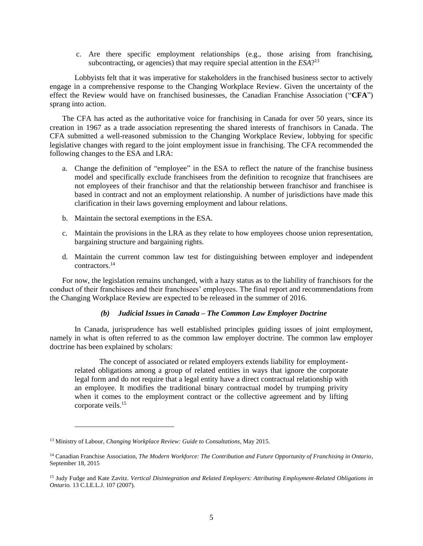c. Are there specific employment relationships (e.g., those arising from franchising, subcontracting, or agencies) that may require special attention in the *ESA*?<sup>13</sup>

Lobbyists felt that it was imperative for stakeholders in the franchised business sector to actively engage in a comprehensive response to the Changing Workplace Review. Given the uncertainty of the effect the Review would have on franchised businesses, the Canadian Franchise Association ("**CFA**") sprang into action.

The CFA has acted as the authoritative voice for franchising in Canada for over 50 years, since its creation in 1967 as a trade association representing the shared interests of franchisors in Canada. The CFA submitted a well-reasoned submission to the Changing Workplace Review, lobbying for specific legislative changes with regard to the joint employment issue in franchising. The CFA recommended the following changes to the ESA and LRA:

- a. Change the definition of "employee" in the ESA to reflect the nature of the franchise business model and specifically exclude franchisees from the definition to recognize that franchisees are not employees of their franchisor and that the relationship between franchisor and franchisee is based in contract and not an employment relationship. A number of jurisdictions have made this clarification in their laws governing employment and labour relations.
- b. Maintain the sectoral exemptions in the ESA.
- c. Maintain the provisions in the LRA as they relate to how employees choose union representation, bargaining structure and bargaining rights.
- d. Maintain the current common law test for distinguishing between employer and independent contractors.<sup>14</sup>

For now, the legislation remains unchanged, with a hazy status as to the liability of franchisors for the conduct of their franchisees and their franchisees' employees. The final report and recommendations from the Changing Workplace Review are expected to be released in the summer of 2016.

## *(b) Judicial Issues in Canada – The Common Law Employer Doctrine*

In Canada, jurisprudence has well established principles guiding issues of joint employment, namely in what is often referred to as the common law employer doctrine. The common law employer doctrine has been explained by scholars:

The concept of associated or related employers extends liability for employmentrelated obligations among a group of related entities in ways that ignore the corporate legal form and do not require that a legal entity have a direct contractual relationship with an employee. It modifies the traditional binary contractual model by trumping privity when it comes to the employment contract or the collective agreement and by lifting corporate veils. 15

<sup>13</sup> Ministry of Labour, *Changing Workplace Review: Guide to Consultations*, May 2015.

<sup>14</sup> Canadian Franchise Association, *The Modern Workforce: The Contribution and Future Opportunity of Franchising in Ontario*, September 18, 2015

<sup>15</sup> Judy Fudge and Kate Zavitz. *Vertical Disintegration and Related Employers: Attributing Employment-Related Obligations in Ontario.* 13 C.LE.L.J. 107 (2007).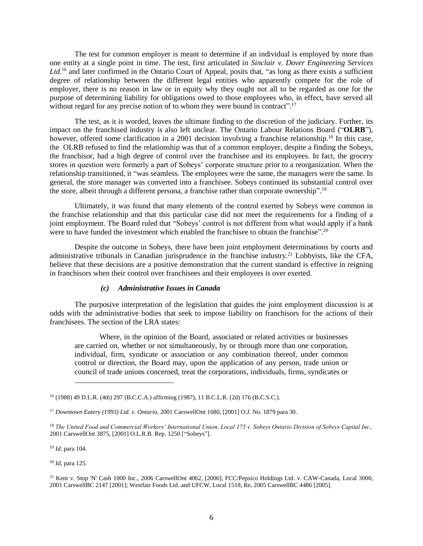The test for common employer is meant to determine if an individual is employed by more than one entity at a single point in time. The test, first articulated in *Sinclair v. Dover Engineering Services Ltd.*<sup>16</sup> and later confirmed in the Ontario Court of Appeal, posits that, "as long as there exists a sufficient degree of relationship between the different legal entities who apparently compete for the role of employer, there is no reason in law or in equity why they ought not all to be regarded as one for the purpose of determining liability for obligations owed to those employees who, in effect, have served all without regard for any precise notion of to whom they were bound in contract".<sup>17</sup>

The test, as it is worded, leaves the ultimate finding to the discretion of the judiciary. Further, its impact on the franchised industry is also left unclear. The Ontario Labour Relations Board ("**OLRB**"), however, offered some clarification in a 2001 decision involving a franchise relationship.<sup>18</sup> In this case, the OLRB refused to find the relationship was that of a common employer, despite a finding the Sobeys, the franchisor, had a high degree of control over the franchisee and its employees. In fact, the grocery stores in question were formerly a part of Sobeys' corporate structure prior to a reorganization. When the relationship transitioned, it "was seamless. The employees were the same, the managers were the same. In general, the store manager was converted into a franchisee. Sobeys continued its substantial control over the store, albeit through a different persona, a franchise rather than corporate ownership".<sup>19</sup>

Ultimately, it was found that many elements of the control exerted by Sobeys were common in the franchise relationship and that this particular case did not meet the requirements for a finding of a joint employment. The Board ruled that "Sobeys' control is not different from what would apply if a bank were to have funded the investment which enabled the franchise to obtain the franchise".<sup>20</sup>

Despite the outcome in Sobeys, there have been joint employment determinations by courts and administrative tribunals in Canadian jurisprudence in the franchise industry.<sup>21</sup> Lobbyists, like the CFA, believe that these decisions are a positive demonstration that the current standard is effective in reigning in franchisors when their control over franchisees and their employees is over exerted.

## *(c) Administrative Issues in Canada*

The purposive interpretation of the legislation that guides the joint employment discussion is at odds with the administrative bodies that seek to impose liability on franchisors for the actions of their franchisees. The section of the LRA states:

Where, in the opinion of the Board, associated or related activities or businesses are carried on, whether or not simultaneously, by or through more than one corporation, individual, firm, syndicate or association or any combination thereof, under common control or direction, the Board may, upon the application of any person, trade union or council of trade unions concerned, treat the corporations, individuals, firms, syndicates or

<sup>19</sup> *Id*, para 104.

l

<sup>20</sup> *Id*, para 125.

<sup>16</sup> (1988) 49 D.L.R. (4th) 297 (B.C.C.A.) affirming (1987), 11 B.C.L.R. (2d) 176 (B.C.S.C.).

<sup>17</sup> *Downtown Eatery (1993) Ltd. v. Ontario,* 2001 CarswellOnt 1680, [2001] O.J. No. 1879 para 30.

<sup>18</sup> *The United Food and Commercial Workers' International Union, Local 175 v. Sobeys Ontario Division of Sobeys Capital Inc.,*  2001 CarswellOnt 3875, [2001] O.L.R.B. Rep. 1250 ["Sobeys"].

<sup>&</sup>lt;sup>21</sup> Kent v. Stop 'N' Cash 1000 Inc., 2006 CarswellOnt 4062, [2006]; FCC/Pepsico Holdings Ltd. v. CAW-Canada, Local 3000, 2001 CarswellBC 2147 [2001]; Westfair Foods Ltd. and UFCW, Local 1518, Re, 2005 CarswellBC 4486 [2005].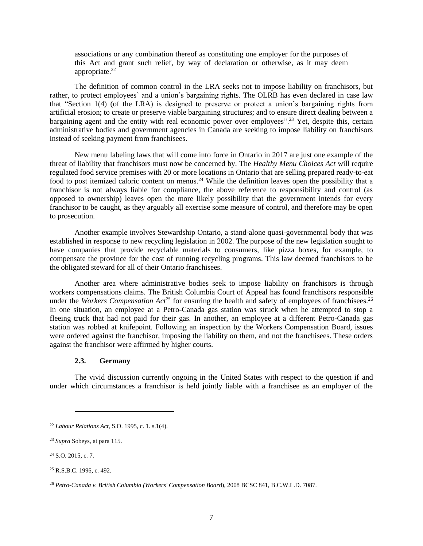associations or any combination thereof as constituting one employer for the purposes of this Act and grant such relief, by way of declaration or otherwise, as it may deem appropriate.<sup>22</sup>

The definition of common control in the LRA seeks not to impose liability on franchisors, but rather, to protect employees' and a union's bargaining rights. The OLRB has even declared in case law that "Section 1(4) (of the LRA) is designed to preserve or protect a union's bargaining rights from artificial erosion; to create or preserve viable bargaining structures; and to ensure direct dealing between a bargaining agent and the entity with real economic power over employees".<sup>23</sup> Yet, despite this, certain administrative bodies and government agencies in Canada are seeking to impose liability on franchisors instead of seeking payment from franchisees.

New menu labeling laws that will come into force in Ontario in 2017 are just one example of the threat of liability that franchisors must now be concerned by. The *Healthy Menu Choices Act* will require regulated food service premises with 20 or more locations in Ontario that are selling prepared ready-to-eat food to post itemized caloric content on menus.<sup>24</sup> While the definition leaves open the possibility that a franchisor is not always liable for compliance, the above reference to responsibility and control (as opposed to ownership) leaves open the more likely possibility that the government intends for every franchisor to be caught, as they arguably all exercise some measure of control, and therefore may be open to prosecution.

Another example involves Stewardship Ontario, a stand-alone quasi-governmental body that was established in response to new recycling legislation in 2002. The purpose of the new legislation sought to have companies that provide recyclable materials to consumers, like pizza boxes, for example, to compensate the province for the cost of running recycling programs. This law deemed franchisors to be the obligated steward for all of their Ontario franchisees.

Another area where administrative bodies seek to impose liability on franchisors is through workers compensations claims. The British Columbia Court of Appeal has found franchisors responsible under the *Workers Compensation*  $Act^{25}$  for ensuring the health and safety of employees of franchisees.<sup>26</sup> In one situation, an employee at a Petro-Canada gas station was struck when he attempted to stop a fleeing truck that had not paid for their gas. In another, an employee at a different Petro-Canada gas station was robbed at knifepoint. Following an inspection by the Workers Compensation Board, issues were ordered against the franchisor, imposing the liability on them, and not the franchisees. These orders against the franchisor were affirmed by higher courts.

## **2.3. Germany**

<span id="page-9-0"></span>The vivid discussion currently ongoing in the United States with respect to the question if and under which circumstances a franchisor is held jointly liable with a franchisee as an employer of the

<sup>22</sup> *Labour Relations Act*, S.O. 1995, c. 1. s.1(4).

<sup>23</sup> *Supra* Sobeys, at para 115.

<sup>24</sup> S.O. 2015, c. 7.

<sup>25</sup> R.S.B.C. 1996, c. 492.

<sup>26</sup> *Petro-Canada v. British Columbia (Workers' Compensation Boar*d), 2008 BCSC 841, B.C.W.L.D. 7087.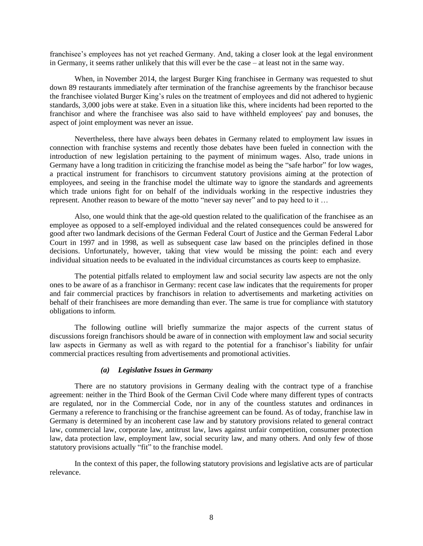franchisee's employees has not yet reached Germany. And, taking a closer look at the legal environment in Germany, it seems rather unlikely that this will ever be the case – at least not in the same way.

When, in November 2014, the largest Burger King franchisee in Germany was requested to shut down 89 restaurants immediately after termination of the franchise agreements by the franchisor because the franchisee violated Burger King's rules on the treatment of employees and did not adhered to hygienic standards, 3,000 jobs were at stake. Even in a situation like this, where incidents had been reported to the franchisor and where the franchisee was also said to have withheld employees' pay and bonuses, the aspect of joint employment was never an issue.

Nevertheless, there have always been debates in Germany related to employment law issues in connection with franchise systems and recently those debates have been fueled in connection with the introduction of new legislation pertaining to the payment of minimum wages. Also, trade unions in Germany have a long tradition in criticizing the franchise model as being the "safe harbor" for low wages, a practical instrument for franchisors to circumvent statutory provisions aiming at the protection of employees, and seeing in the franchise model the ultimate way to ignore the standards and agreements which trade unions fight for on behalf of the individuals working in the respective industries they represent. Another reason to beware of the motto "never say never" and to pay heed to it …

Also, one would think that the age-old question related to the qualification of the franchisee as an employee as opposed to a self-employed individual and the related consequences could be answered for good after two landmark decisions of the German Federal Court of Justice and the German Federal Labor Court in 1997 and in 1998, as well as subsequent case law based on the principles defined in those decisions. Unfortunately, however, taking that view would be missing the point: each and every individual situation needs to be evaluated in the individual circumstances as courts keep to emphasize.

The potential pitfalls related to employment law and social security law aspects are not the only ones to be aware of as a franchisor in Germany: recent case law indicates that the requirements for proper and fair commercial practices by franchisors in relation to advertisements and marketing activities on behalf of their franchisees are more demanding than ever. The same is true for compliance with statutory obligations to inform.

The following outline will briefly summarize the major aspects of the current status of discussions foreign franchisors should be aware of in connection with employment law and social security law aspects in Germany as well as with regard to the potential for a franchisor's liability for unfair commercial practices resulting from advertisements and promotional activities.

#### *(a) Legislative Issues in Germany*

There are no statutory provisions in Germany dealing with the contract type of a franchise agreement: neither in the Third Book of the German Civil Code where many different types of contracts are regulated, nor in the Commercial Code, nor in any of the countless statutes and ordinances in Germany a reference to franchising or the franchise agreement can be found. As of today, franchise law in Germany is determined by an incoherent case law and by statutory provisions related to general contract law, commercial law, corporate law, antitrust law, laws against unfair competition, consumer protection law, data protection law, employment law, social security law, and many others. And only few of those statutory provisions actually "fit" to the franchise model.

In the context of this paper, the following statutory provisions and legislative acts are of particular relevance.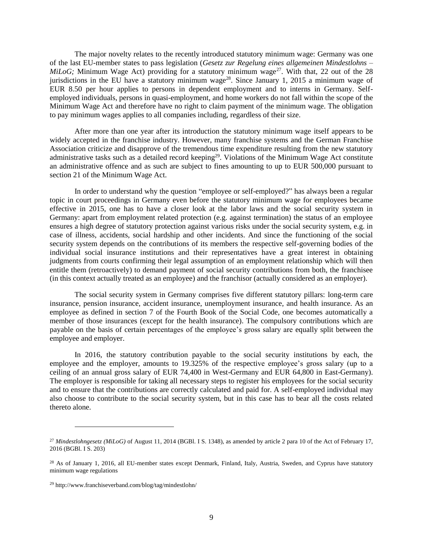The major novelty relates to the recently introduced statutory minimum wage: Germany was one of the last EU-member states to pass legislation (*Gesetz zur Regelung eines allgemeinen Mindestlohns – MiLoG*; Minimum Wage Act) providing for a statutory minimum wage<sup>27</sup>. With that, 22 out of the 28 jurisdictions in the EU have a statutory minimum wage<sup>28</sup>. Since January 1, 2015 a minimum wage of EUR 8.50 per hour applies to persons in dependent employment and to interns in Germany. Selfemployed individuals, persons in quasi-employment, and home workers do not fall within the scope of the Minimum Wage Act and therefore have no right to claim payment of the minimum wage. The obligation to pay minimum wages applies to all companies including, regardless of their size.

After more than one year after its introduction the statutory minimum wage itself appears to be widely accepted in the franchise industry. However, many franchise systems and the German Franchise Association criticize and disapprove of the tremendous time expenditure resulting from the new statutory administrative tasks such as a detailed record keeping<sup>29</sup>. Violations of the Minimum Wage Act constitute an administrative offence and as such are subject to fines amounting to up to EUR 500,000 pursuant to section 21 of the Minimum Wage Act.

In order to understand why the question "employee or self-employed?" has always been a regular topic in court proceedings in Germany even before the statutory minimum wage for employees became effective in 2015, one has to have a closer look at the labor laws and the social security system in Germany: apart from employment related protection (e.g. against termination) the status of an employee ensures a high degree of statutory protection against various risks under the social security system, e.g. in case of illness, accidents, social hardship and other incidents. And since the functioning of the social security system depends on the contributions of its members the respective self-governing bodies of the individual social insurance institutions and their representatives have a great interest in obtaining judgments from courts confirming their legal assumption of an employment relationship which will then entitle them (retroactively) to demand payment of social security contributions from both, the franchisee (in this context actually treated as an employee) and the franchisor (actually considered as an employer).

The social security system in Germany comprises five different statutory pillars: long-term care insurance, pension insurance, accident insurance, unemployment insurance, and health insurance. As an employee as defined in section 7 of the Fourth Book of the Social Code, one becomes automatically a member of those insurances (except for the health insurance). The compulsory contributions which are payable on the basis of certain percentages of the employee's gross salary are equally split between the employee and employer.

In 2016, the statutory contribution payable to the social security institutions by each, the employee and the employer, amounts to 19.325% of the respective employee's gross salary (up to a ceiling of an annual gross salary of EUR 74,400 in West-Germany and EUR 64,800 in East-Germany). The employer is responsible for taking all necessary steps to register his employees for the social security and to ensure that the contributions are correctly calculated and paid for. A self-employed individual may also choose to contribute to the social security system, but in this case has to bear all the costs related thereto alone.

<sup>27</sup> *Mindestlohngesetz (MiLoG)* of August 11, 2014 (BGBl. I S. 1348), as amended by article 2 para 10 of the Act of February 17, 2016 (BGBl. I S. 203)

<sup>&</sup>lt;sup>28</sup> As of January 1, 2016, all EU-member states except Denmark, Finland, Italy, Austria, Sweden, and Cyprus have statutory minimum wage regulations

<sup>29</sup> http://www.franchiseverband.com/blog/tag/mindestlohn/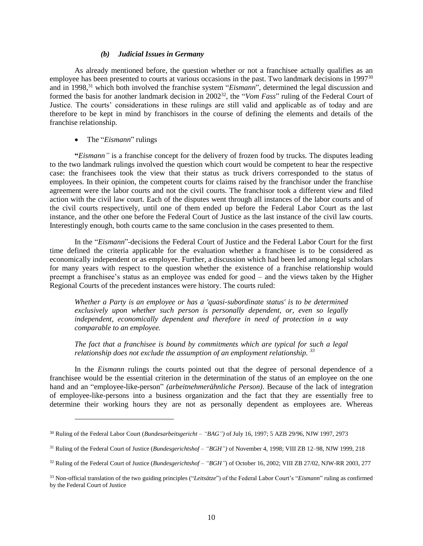#### *(b) Judicial Issues in Germany*

As already mentioned before, the question whether or not a franchisee actually qualifies as an employee has been presented to courts at various occasions in the past. Two landmark decisions in 1997<sup>30</sup> and in 1998, <sup>31</sup> which both involved the franchise system "*Eismann*", determined the legal discussion and formed the basis for another landmark decision in 2002<sup>32</sup>, the "*Vom Fass*" ruling of the Federal Court of Justice. The courts' considerations in these rulings are still valid and applicable as of today and are therefore to be kept in mind by franchisors in the course of defining the elements and details of the franchise relationship.

#### • The "*Eismann*" rulings

 $\overline{a}$ 

**"***Eismann"* is a franchise concept for the delivery of frozen food by trucks. The disputes leading to the two landmark rulings involved the question which court would be competent to hear the respective case: the franchisees took the view that their status as truck drivers corresponded to the status of employees. In their opinion, the competent courts for claims raised by the franchisor under the franchise agreement were the labor courts and not the civil courts. The franchisor took a different view and filed action with the civil law court. Each of the disputes went through all instances of the labor courts and of the civil courts respectively, until one of them ended up before the Federal Labor Court as the last instance, and the other one before the Federal Court of Justice as the last instance of the civil law courts. Interestingly enough, both courts came to the same conclusion in the cases presented to them.

In the "*Eismann*"-decisions the Federal Court of Justice and the Federal Labor Court for the first time defined the criteria applicable for the evaluation whether a franchisee is to be considered as economically independent or as employee. Further, a discussion which had been led among legal scholars for many years with respect to the question whether the existence of a franchise relationship would preempt a franchisee's status as an employee was ended for good – and the views taken by the Higher Regional Courts of the precedent instances were history. The courts ruled:

*Whether a Party is an employee or has a 'quasi-subordinate status' is to be determined exclusively upon whether such person is personally dependent, or, even so legally independent, economically dependent and therefore in need of protection in a way comparable to an employee.*

*The fact that a franchisee is bound by commitments which are typical for such a legal relationship does not exclude the assumption of an employment relationship. <sup>33</sup>*

In the *Eismann* rulings the courts pointed out that the degree of personal dependence of a franchisee would be the essential criterion in the determination of the status of an employee on the one hand and an "employee-like-person" *(arbeitnehmerähnliche Person)*. Because of the lack of integration of employee-like-persons into a business organization and the fact that they are essentially free to determine their working hours they are not as personally dependent as employees are. Whereas

<sup>30</sup> Ruling of the Federal Labor Court (*Bundesarbeitsgericht – "BAG")* of July 16, 1997; 5 AZB 29/96, NJW 1997, 2973

<sup>31</sup> Ruling of the Federal Court of Justice (*Bundesgerichtshof – "BGH")* of November 4, 1998; VIII ZB 12–98, NJW 1999, 218

<sup>32</sup> Ruling of the Federal Court of Justice (*Bundesgerichtshof – "BGH"*) of October 16, 2002; VIII ZB 27/02, NJW-RR 2003, 277

<sup>33</sup> Non-official translation of the two guiding principles ("*Leitsätze*") of the Federal Labor Court's "*Eismann*" ruling as confirmed by the Federal Court of Justice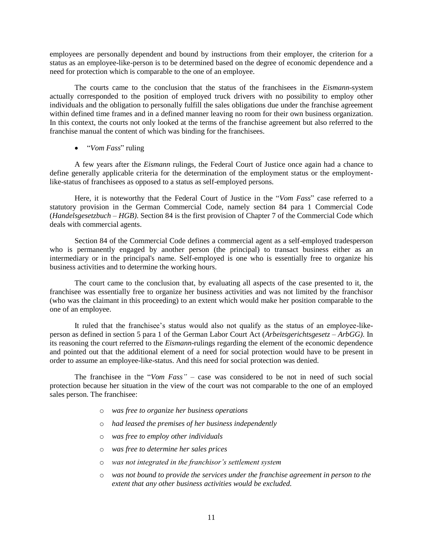employees are personally dependent and bound by instructions from their employer, the criterion for a status as an employee-like-person is to be determined based on the degree of economic dependence and a need for protection which is comparable to the one of an employee.

The courts came to the conclusion that the status of the franchisees in the *Eismann*-system actually corresponded to the position of employed truck drivers with no possibility to employ other individuals and the obligation to personally fulfill the sales obligations due under the franchise agreement within defined time frames and in a defined manner leaving no room for their own business organization. In this context, the courts not only looked at the terms of the franchise agreement but also referred to the franchise manual the content of which was binding for the franchisees.

"*Vom Fass*" ruling

A few years after the *Eismann* rulings, the Federal Court of Justice once again had a chance to define generally applicable criteria for the determination of the employment status or the employmentlike-status of franchisees as opposed to a status as self-employed persons.

Here, it is noteworthy that the Federal Court of Justice in the "*Vom Fass*" case referred to a statutory provision in the German Commercial Code, namely section 84 para 1 Commercial Code (*Handelsgesetzbuch – HGB)*. Section 84 is the first provision of Chapter 7 of the Commercial Code which deals with commercial agents.

Section 84 of the Commercial Code defines a commercial agent as a self-employed tradesperson who is permanently engaged by another person (the principal) to transact business either as an intermediary or in the principal's name. Self-employed is one who is essentially free to organize his business activities and to determine the working hours.

The court came to the conclusion that, by evaluating all aspects of the case presented to it, the franchisee was essentially free to organize her business activities and was not limited by the franchisor (who was the claimant in this proceeding) to an extent which would make her position comparable to the one of an employee.

It ruled that the franchisee's status would also not qualify as the status of an employee-likeperson as defined in section 5 para 1 of the German Labor Court Act (*Arbeitsgerichtsgesetz – ArbGG)*. In its reasoning the court referred to the *Eismann*-rulings regarding the element of the economic dependence and pointed out that the additional element of a need for social protection would have to be present in order to assume an employee-like-status. And this need for social protection was denied.

The franchisee in the "*Vom Fass"* – case was considered to be not in need of such social protection because her situation in the view of the court was not comparable to the one of an employed sales person. The franchisee:

- o *was free to organize her business operations*
- o *had leased the premises of her business independently*
- o *was free to employ other individuals*
- o *was free to determine her sales prices*
- o *was not integrated in the franchisor's settlement system*
- o *was not bound to provide the services under the franchise agreement in person to the extent that any other business activities would be excluded.*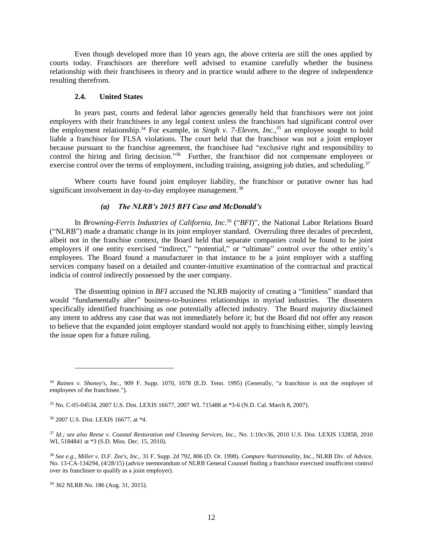Even though developed more than 10 years ago, the above criteria are still the ones applied by courts today. Franchisors are therefore well advised to examine carefully whether the business relationship with their franchisees in theory and in practice would adhere to the degree of independence resulting therefrom.

#### **2.4. United States**

In years past, courts and federal labor agencies generally held that franchisors were not joint employers with their franchisees in any legal context unless the franchisors had significant control over the employment relationship.<sup>34</sup> For example, in *Singh v. 7-Eleven, Inc.,<sup>35</sup>* an employee sought to hold liable a franchisor for FLSA violations. The court held that the franchisor was not a joint employer because pursuant to the franchise agreement, the franchisee had "exclusive right and responsibility to control the hiring and firing decision."<sup>36</sup> Further, the franchisor did not compensate employees or exercise control over the terms of employment, including training, assigning job duties, and scheduling.<sup>37</sup>

Where courts have found joint employer liability, the franchisor or putative owner has had significant involvement in day-to-day employee management.<sup>38</sup>

## *(a) The NLRB's 2015 BFI Case and McDonald's*

<span id="page-14-0"></span>In *Browning-Ferris Industries of California, Inc*. <sup>39</sup> ("*BFI*)"*,* the National Labor Relations Board ("NLRB") made a dramatic change in its joint employer standard. Overruling three decades of precedent, albeit not in the franchise context, the Board held that separate companies could be found to be joint employers if one entity exercised "indirect," "potential," or "ultimate" control over the other entity's employees. The Board found a manufacturer in that instance to be a joint employer with a staffing services company based on a detailed and counter-intuitive examination of the contractual and practical indicia of control indirectly possessed by the user company.

The dissenting opinion in *BFI* accused the NLRB majority of creating a "limitless" standard that would "fundamentally alter" business-to-business relationships in myriad industries. The dissenters specifically identified franchising as one potentially affected industry. The Board majority disclaimed any intent to address any case that was not immediately before it; but the Board did not offer any reason to believe that the expanded joint employer standard would not apply to franchising either, simply leaving the issue open for a future ruling.

 $\overline{a}$ 

<sup>34</sup> *Raines v. Shoney's, Inc.,* 909 F. Supp. 1070, 1078 (E.D. Tenn. 1995) (Generally, "a franchisor is not the employer of employees of the franchisee.").

<sup>35</sup> No. C-05-04534, 2007 U.S. Dist. LEXIS 16677, 2007 WL 715488 at \*3-6 (N.D. Cal. March 8, 2007).

<sup>36</sup> 2007 U.S. Dist. LEXIS 16677, at \*4.

<sup>37</sup> *Id.; see also Reese v. Coastal Restoration and Cleaning Services, Inc.,* No. 1:10cv36, 2010 U.S. Dist. LEXIS 132858, 2010 WL 5184841 at \*3 (S.D. Miss. Dec. 15, 2010).

<sup>38</sup> *See e.g., Miller v. D.F. Zee's, Inc.,* 31 F. Supp. 2d 792, 806 (D. Or. 1998). *Compare Nutritionality*, Inc., NLRB Div. of Advice, No. 13-CA-134294, (4/28/15) (advice memorandum of NLRB General Counsel finding a franchisor exercised insufficient control over its franchisee to qualify as a joint employer).

<sup>39</sup> 362 NLRB No. 186 (Aug. 31, 2015).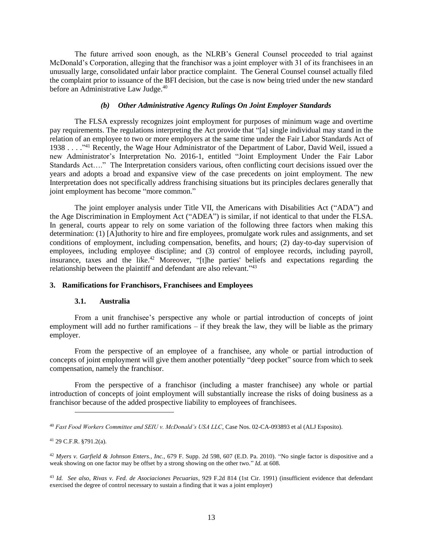The future arrived soon enough, as the NLRB's General Counsel proceeded to trial against McDonald's Corporation, alleging that the franchisor was a joint employer with 31 of its franchisees in an unusually large, consolidated unfair labor practice complaint. The General Counsel counsel actually filed the complaint prior to issuance of the BFI decision, but the case is now being tried under the new standard before an Administrative Law Judge.<sup>40</sup>

#### *(b) Other Administrative Agency Rulings On Joint Employer Standards*

The FLSA expressly recognizes joint employment for purposes of minimum wage and overtime pay requirements. The regulations interpreting the Act provide that "[a] single individual may stand in the relation of an employee to two or more employers at the same time under the Fair Labor Standards Act of 1938 . . . .<sup>741</sup> Recently, the Wage Hour Administrator of the Department of Labor, David Weil, issued a new Administrator's Interpretation No. 2016-1, entitled "Joint Employment Under the Fair Labor Standards Act…." The Interpretation considers various, often conflicting court decisions issued over the years and adopts a broad and expansive view of the case precedents on joint employment. The new Interpretation does not specifically address franchising situations but its principles declares generally that joint employment has become "more common."

The joint employer analysis under Title VII, the Americans with Disabilities Act ("ADA") and the Age Discrimination in Employment Act ("ADEA") is similar, if not identical to that under the FLSA. In general, courts appear to rely on some variation of the following three factors when making this determination: (1) [A]uthority to hire and fire employees, promulgate work rules and assignments, and set conditions of employment, including compensation, benefits, and hours; (2) day-to-day supervision of employees, including employee discipline; and (3) control of employee records, including payroll, insurance, taxes and the like.<sup>42</sup> Moreover, "[t]he parties' beliefs and expectations regarding the relationship between the plaintiff and defendant are also relevant."<sup>43</sup>

### **3. Ramifications for Franchisors, Franchisees and Employees**

#### **3.1. Australia**

From a unit franchisee's perspective any whole or partial introduction of concepts of joint employment will add no further ramifications  $-$  if they break the law, they will be liable as the primary employer.

From the perspective of an employee of a franchisee, any whole or partial introduction of concepts of joint employment will give them another potentially "deep pocket" source from which to seek compensation, namely the franchisor.

From the perspective of a franchisor (including a master franchisee) any whole or partial introduction of concepts of joint employment will substantially increase the risks of doing business as a franchisor because of the added prospective liability to employees of franchisees.

<sup>40</sup> *Fast Food Workers Committee and SEIU v. McDonald's USA LLC*, Case Nos. 02-CA-093893 et al (ALJ Esposito).

<sup>41</sup> 29 C.F.R. §791.2(a).

<sup>42</sup> *Myers v. Garfield & Johnson Enters., Inc.,* 679 F. Supp. 2d 598, 607 (E.D. Pa. 2010). "No single factor is dispositive and a weak showing on one factor may be offset by a strong showing on the other two." *Id.* at 608.

<sup>43</sup> *Id. See also, Rivas v. Fed. de Asociaciones Pecuarias*, 929 F.2d 814 (1st Cir. 1991) (insufficient evidence that defendant exercised the degree of control necessary to sustain a finding that it was a joint employer)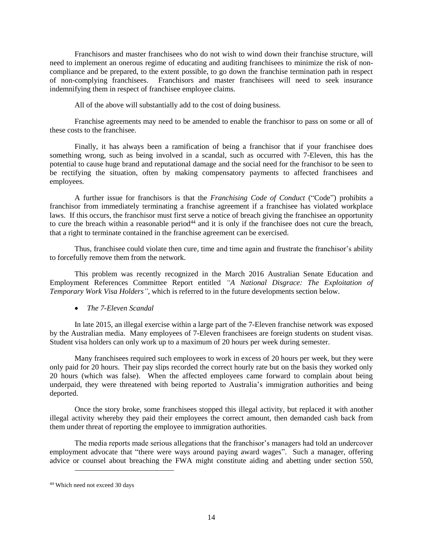Franchisors and master franchisees who do not wish to wind down their franchise structure, will need to implement an onerous regime of educating and auditing franchisees to minimize the risk of noncompliance and be prepared, to the extent possible, to go down the franchise termination path in respect of non-complying franchisees. Franchisors and master franchisees will need to seek insurance indemnifying them in respect of franchisee employee claims.

All of the above will substantially add to the cost of doing business.

Franchise agreements may need to be amended to enable the franchisor to pass on some or all of these costs to the franchisee.

Finally, it has always been a ramification of being a franchisor that if your franchisee does something wrong, such as being involved in a scandal, such as occurred with 7-Eleven, this has the potential to cause huge brand and reputational damage and the social need for the franchisor to be seen to be rectifying the situation, often by making compensatory payments to affected franchisees and employees.

A further issue for franchisors is that the *Franchising Code of Conduct* ("Code") prohibits a franchisor from immediately terminating a franchise agreement if a franchisee has violated workplace laws. If this occurs, the franchisor must first serve a notice of breach giving the franchisee an opportunity to cure the breach within a reasonable period<sup>44</sup> and it is only if the franchisee does not cure the breach, that a right to terminate contained in the franchise agreement can be exercised.

Thus, franchisee could violate then cure, time and time again and frustrate the franchisor's ability to forcefully remove them from the network.

This problem was recently recognized in the March 2016 Australian Senate Education and Employment References Committee Report entitled *"A National Disgrace: The Exploitation of Temporary Work Visa Holders"*, which is referred to in the future developments section below.

*The 7-Eleven Scandal*

In late 2015, an illegal exercise within a large part of the 7-Eleven franchise network was exposed by the Australian media. Many employees of 7-Eleven franchisees are foreign students on student visas. Student visa holders can only work up to a maximum of 20 hours per week during semester.

Many franchisees required such employees to work in excess of 20 hours per week, but they were only paid for 20 hours. Their pay slips recorded the correct hourly rate but on the basis they worked only 20 hours (which was false). When the affected employees came forward to complain about being underpaid, they were threatened with being reported to Australia's immigration authorities and being deported.

Once the story broke, some franchisees stopped this illegal activity, but replaced it with another illegal activity whereby they paid their employees the correct amount, then demanded cash back from them under threat of reporting the employee to immigration authorities.

The media reports made serious allegations that the franchisor's managers had told an undercover employment advocate that "there were ways around paying award wages". Such a manager, offering advice or counsel about breaching the FWA might constitute aiding and abetting under section 550,

<sup>44</sup> Which need not exceed 30 days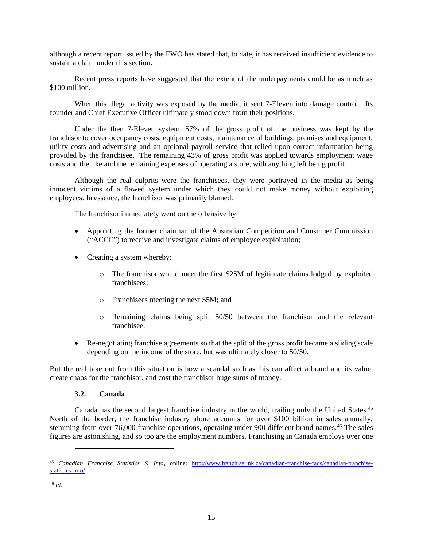although a recent report issued by the FWO has stated that, to date, it has received insufficient evidence to sustain a claim under this section.

Recent press reports have suggested that the extent of the underpayments could be as much as \$100 million.

When this illegal activity was exposed by the media, it sent 7-Eleven into damage control. Its founder and Chief Executive Officer ultimately stood down from their positions.

Under the then 7-Eleven system, 57% of the gross profit of the business was kept by the franchisor to cover occupancy costs, equipment costs, maintenance of buildings, premises and equipment, utility costs and advertising and an optional payroll service that relied upon correct information being provided by the franchisee. The remaining 43% of gross profit was applied towards employment wage costs and the like and the remaining expenses of operating a store, with anything left being profit.

Although the real culprits were the franchisees, they were portrayed in the media as being innocent victims of a flawed system under which they could not make money without exploiting employees. In essence, the franchisor was primarily blamed.

The franchisor immediately went on the offensive by:

- Appointing the former chairman of the Australian Competition and Consumer Commission ("ACCC") to receive and investigate claims of employee exploitation;
- Creating a system whereby:
	- o The franchisor would meet the first \$25M of legitimate claims lodged by exploited franchisees;
	- o Franchisees meeting the next \$5M; and
	- o Remaining claims being split 50/50 between the franchisor and the relevant franchisee.
- Re-negotiating franchise agreements so that the split of the gross profit became a sliding scale depending on the income of the store, but was ultimately closer to 50/50.

But the real take out from this situation is how a scandal such as this can affect a brand and its value, create chaos for the franchisor, and cost the franchisor huge sums of money.

### **3.2. Canada**

Canada has the second largest franchise industry in the world, trailing only the United States.<sup>45</sup> North of the border, the franchise industry alone accounts for over \$100 billion in sales annually, stemming from over 76,000 franchise operations, operating under 900 different brand names.<sup>46</sup> The sales figures are astonishing, and so too are the employment numbers. Franchising in Canada employs over one

 $\overline{a}$ 

<sup>45</sup> *Canadian Franchise Statistics & Info*, online: [http://www.franchiselink.ca/canadian-franchise-faqs/canadian-franchise](http://www.franchiselink.ca/canadian-franchise-faqs/canadian-franchise-statistics-info/)[statistics-info/](http://www.franchiselink.ca/canadian-franchise-faqs/canadian-franchise-statistics-info/)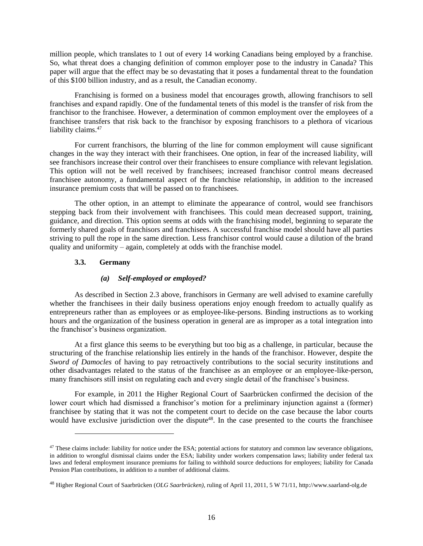million people, which translates to 1 out of every 14 working Canadians being employed by a franchise. So, what threat does a changing definition of common employer pose to the industry in Canada? This paper will argue that the effect may be so devastating that it poses a fundamental threat to the foundation of this \$100 billion industry, and as a result, the Canadian economy.

Franchising is formed on a business model that encourages growth, allowing franchisors to sell franchises and expand rapidly. One of the fundamental tenets of this model is the transfer of risk from the franchisor to the franchisee. However, a determination of common employment over the employees of a franchisee transfers that risk back to the franchisor by exposing franchisors to a plethora of vicarious liability claims.<sup>47</sup>

For current franchisors, the blurring of the line for common employment will cause significant changes in the way they interact with their franchisees. One option, in fear of the increased liability, will see franchisors increase their control over their franchisees to ensure compliance with relevant legislation. This option will not be well received by franchisees; increased franchisor control means decreased franchisee autonomy, a fundamental aspect of the franchise relationship, in addition to the increased insurance premium costs that will be passed on to franchisees.

The other option, in an attempt to eliminate the appearance of control, would see franchisors stepping back from their involvement with franchisees. This could mean decreased support, training, guidance, and direction. This option seems at odds with the franchising model, beginning to separate the formerly shared goals of franchisors and franchisees. A successful franchise model should have all parties striving to pull the rope in the same direction. Less franchisor control would cause a dilution of the brand quality and uniformity – again, completely at odds with the franchise model.

## **3.3. Germany**

l

## *(a) Self-employed or employed?*

As described in Section [2.3](#page-9-0) above, franchisors in Germany are well advised to examine carefully whether the franchisees in their daily business operations enjoy enough freedom to actually qualify as entrepreneurs rather than as employees or as employee-like-persons. Binding instructions as to working hours and the organization of the business operation in general are as improper as a total integration into the franchisor's business organization.

At a first glance this seems to be everything but too big as a challenge, in particular, because the structuring of the franchise relationship lies entirely in the hands of the franchisor. However, despite the *Sword of Damocles* of having to pay retroactively contributions to the social security institutions and other disadvantages related to the status of the franchisee as an employee or an employee-like-person, many franchisors still insist on regulating each and every single detail of the franchisee's business.

For example, in 2011 the Higher Regional Court of Saarbrücken confirmed the decision of the lower court which had dismissed a franchisor's motion for a preliminary injunction against a (former) franchisee by stating that it was not the competent court to decide on the case because the labor courts would have exclusive jurisdiction over the dispute<sup>48</sup>. In the case presented to the courts the franchisee

<sup>&</sup>lt;sup>47</sup> These claims include: liability for notice under the ESA; potential actions for statutory and common law severance obligations, in addition to wrongful dismissal claims under the ESA; liability under workers compensation laws; liability under federal tax laws and federal employment insurance premiums for failing to withhold source deductions for employees; liability for Canada Pension Plan contributions, in addition to a number of additional claims.

<sup>48</sup> Higher Regional Court of Saarbrücken (*OLG Saarbrücken)*, ruling of April 11, 2011, 5 W 71/11, http://www.saarland-olg.de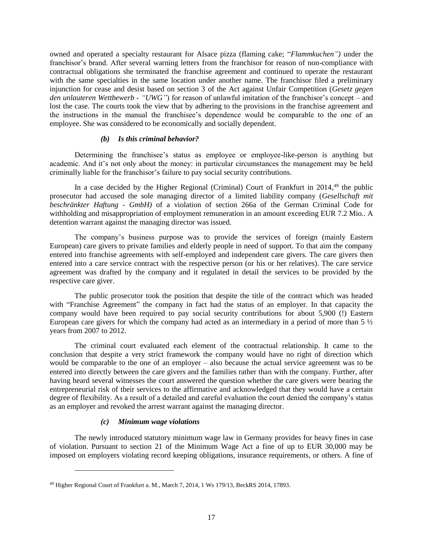owned and operated a specialty restaurant for Alsace pizza (flaming cake; "*Flammkuchen")* under the franchisor's brand. After several warning letters from the franchisor for reason of non-compliance with contractual obligations she terminated the franchise agreement and continued to operate the restaurant with the same specialties in the same location under another name. The franchisor filed a preliminary injunction for cease and desist based on section 3 of the Act against Unfair Competition (*Gesetz gegen den unlauteren Wettbewerb - "UWG"*) for reason of unlawful imitation of the franchisor's concept – and lost the case. The courts took the view that by adhering to the provisions in the franchise agreement and the instructions in the manual the franchisee's dependence would be comparable to the one of an employee. She was considered to be economically and socially dependent.

#### *(b) Is this criminal behavior?*

Determining the franchisee's status as employee or employee-like-person is anything but academic. And it's not only about the money: in particular circumstances the management may be held criminally liable for the franchisor's failure to pay social security contributions.

In a case decided by the Higher Regional (Criminal) Court of Frankfurt in 2014,<sup>49</sup> the public prosecutor had accused the sole managing director of a limited liability company (*Gesellschaft mit beschränkter Haftung - GmbH)* of a violation of section 266a of the German Criminal Code for withholding and misappropriation of employment remuneration in an amount exceeding EUR 7.2 Mio.. A detention warrant against the managing director was issued.

The company's business purpose was to provide the services of foreign (mainly Eastern European) care givers to private families and elderly people in need of support. To that aim the company entered into franchise agreements with self-employed and independent care givers. The care givers then entered into a care service contract with the respective person (or his or her relatives). The care service agreement was drafted by the company and it regulated in detail the services to be provided by the respective care giver.

The public prosecutor took the position that despite the title of the contract which was headed with "Franchise Agreement" the company in fact had the status of an employer. In that capacity the company would have been required to pay social security contributions for about 5,900 (!) Eastern European care givers for which the company had acted as an intermediary in a period of more than 5 ½ years from 2007 to 2012.

The criminal court evaluated each element of the contractual relationship. It came to the conclusion that despite a very strict framework the company would have no right of direction which would be comparable to the one of an employer – also because the actual service agreement was to be entered into directly between the care givers and the families rather than with the company. Further, after having heard several witnesses the court answered the question whether the care givers were bearing the entrepreneurial risk of their services to the affirmative and acknowledged that they would have a certain degree of flexibility. As a result of a detailed and careful evaluation the court denied the company's status as an employer and revoked the arrest warrant against the managing director.

## *(c) Minimum wage violations*

l

The newly introduced statutory minimum wage law in Germany provides for heavy fines in case of violation. Pursuant to section 21 of the Minimum Wage Act a fine of up to EUR 30,000 may be imposed on employers violating record keeping obligations, insurance requirements, or others. A fine of

<sup>49</sup> Higher Regional Court of Frankfurt a. M., March 7, 2014, 1 Ws 179/13, BeckRS 2014, 17893.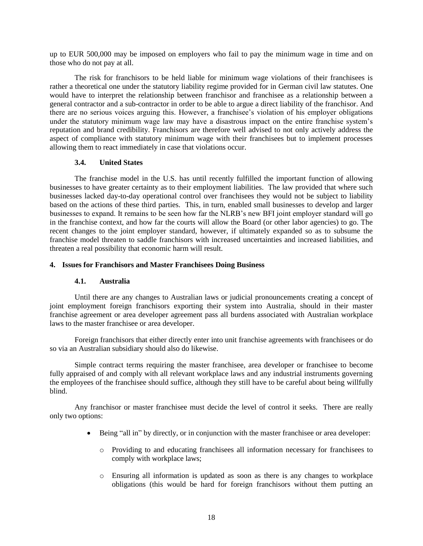up to EUR 500,000 may be imposed on employers who fail to pay the minimum wage in time and on those who do not pay at all.

The risk for franchisors to be held liable for minimum wage violations of their franchisees is rather a theoretical one under the statutory liability regime provided for in German civil law statutes. One would have to interpret the relationship between franchisor and franchisee as a relationship between a general contractor and a sub-contractor in order to be able to argue a direct liability of the franchisor. And there are no serious voices arguing this. However, a franchisee's violation of his employer obligations under the statutory minimum wage law may have a disastrous impact on the entire franchise system's reputation and brand credibility. Franchisors are therefore well advised to not only actively address the aspect of compliance with statutory minimum wage with their franchisees but to implement processes allowing them to react immediately in case that violations occur.

## **3.4. United States**

The franchise model in the U.S. has until recently fulfilled the important function of allowing businesses to have greater certainty as to their employment liabilities. The law provided that where such businesses lacked day-to-day operational control over franchisees they would not be subject to liability based on the actions of these third parties. This, in turn, enabled small businesses to develop and larger businesses to expand. It remains to be seen how far the NLRB's new BFI joint employer standard will go in the franchise context, and how far the courts will allow the Board (or other labor agencies) to go. The recent changes to the joint employer standard, however, if ultimately expanded so as to subsume the franchise model threaten to saddle franchisors with increased uncertainties and increased liabilities, and threaten a real possibility that economic harm will result.

### **4. Issues for Franchisors and Master Franchisees Doing Business**

## **4.1. Australia**

Until there are any changes to Australian laws or judicial pronouncements creating a concept of joint employment foreign franchisors exporting their system into Australia, should in their master franchise agreement or area developer agreement pass all burdens associated with Australian workplace laws to the master franchisee or area developer.

Foreign franchisors that either directly enter into unit franchise agreements with franchisees or do so via an Australian subsidiary should also do likewise.

Simple contract terms requiring the master franchisee, area developer or franchisee to become fully appraised of and comply with all relevant workplace laws and any industrial instruments governing the employees of the franchisee should suffice, although they still have to be careful about being willfully blind.

Any franchisor or master franchisee must decide the level of control it seeks. There are really only two options:

- Being "all in" by directly, or in conjunction with the master franchisee or area developer:
	- o Providing to and educating franchisees all information necessary for franchisees to comply with workplace laws;
	- o Ensuring all information is updated as soon as there is any changes to workplace obligations (this would be hard for foreign franchisors without them putting an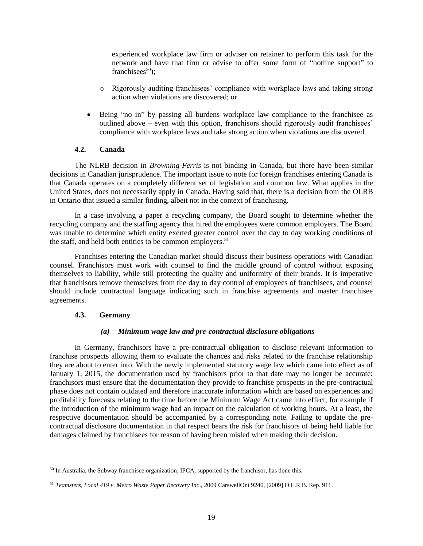experienced workplace law firm or adviser on retainer to perform this task for the network and have that firm or advise to offer some form of "hotline support" to franchisees $50$ ;

- o Rigorously auditing franchisees' compliance with workplace laws and taking strong action when violations are discovered; or
- Being "no in" by passing all burdens workplace law compliance to the franchisee as outlined above – even with this option, franchisors should rigorously audit franchisees' compliance with workplace laws and take strong action when violations are discovered.

### **4.2. Canada**

The NLRB decision in *Browning-Ferris* is not binding in Canada, but there have been similar decisions in Canadian jurisprudence. The important issue to note for foreign franchises entering Canada is that Canada operates on a completely different set of legislation and common law. What applies in the United States, does not necessarily apply in Canada. Having said that, there is a decision from the OLRB in Ontario that issued a similar finding, albeit not in the context of franchising.

In a case involving a paper a recycling company, the Board sought to determine whether the recycling company and the staffing agency that hired the employees were common employers. The Board was unable to determine which entity exerted greater control over the day to day working conditions of the staff, and held both entities to be common employers.<sup>51</sup>

Franchises entering the Canadian market should discuss their business operations with Canadian counsel. Franchisors must work with counsel to find the middle ground of control without exposing themselves to liability, while still protecting the quality and uniformity of their brands. It is imperative that franchisors remove themselves from the day to day control of employees of franchisees, and counsel should include contractual language indicating such in franchise agreements and master franchisee agreements.

## **4.3. Germany**

l

## *(a) Minimum wage law and pre-contractual disclosure obligations*

In Germany, franchisors have a pre-contractual obligation to disclose relevant information to franchise prospects allowing them to evaluate the chances and risks related to the franchise relationship they are about to enter into. With the newly implemented statutory wage law which came into effect as of January 1, 2015, the documentation used by franchisors prior to that date may no longer be accurate: franchisors must ensure that the documentation they provide to franchise prospects in the pre-contractual phase does not contain outdated and therefore inaccurate information which are based on experiences and profitability forecasts relating to the time before the Minimum Wage Act came into effect, for example if the introduction of the minimum wage had an impact on the calculation of working hours. At a least, the respective documentation should be accompanied by a corresponding note. Failing to update the precontractual disclosure documentation in that respect bears the risk for franchisors of being held liable for damages claimed by franchisees for reason of having been misled when making their decision.

<sup>50</sup> In Australia, the Subway franchisee organization, IPCA, supported by the franchisor, has done this.

<sup>51</sup> *Teamsters, Local 419 v. Metro Waste Paper Recovery Inc*., 2009 CarswellOnt 9240, [2009] O.L.R.B. Rep. 911.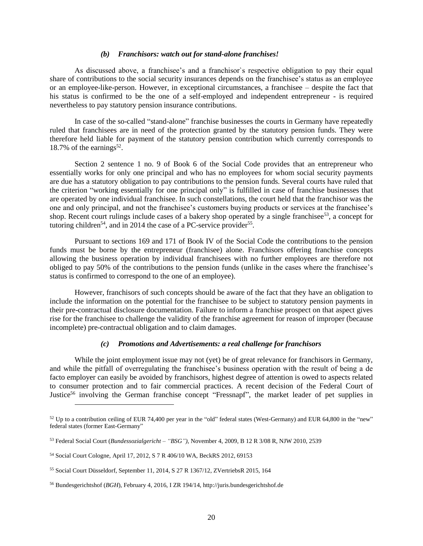#### *(b) Franchisors: watch out for stand-alone franchises!*

As discussed above, a franchisee's and a franchisor`s respective obligation to pay their equal share of contributions to the social security insurances depends on the franchisee's status as an employee or an employee-like-person. However, in exceptional circumstances, a franchisee – despite the fact that his status is confirmed to be the one of a self-employed and independent entrepreneur - is required nevertheless to pay statutory pension insurance contributions.

In case of the so-called "stand-alone" franchise businesses the courts in Germany have repeatedly ruled that franchisees are in need of the protection granted by the statutory pension funds. They were therefore held liable for payment of the statutory pension contribution which currently corresponds to 18.7% of the earnings<sup>52</sup>.

Section 2 sentence 1 no. 9 of Book 6 of the Social Code provides that an entrepreneur who essentially works for only one principal and who has no employees for whom social security payments are due has a statutory obligation to pay contributions to the pension funds. Several courts have ruled that the criterion "working essentially for one principal only" is fulfilled in case of franchise businesses that are operated by one individual franchisee. In such constellations, the court held that the franchisor was the one and only principal, and not the franchisee's customers buying products or services at the franchisee's shop. Recent court rulings include cases of a bakery shop operated by a single franchisee<sup>53</sup>, a concept for tutoring children<sup>54</sup>, and in 2014 the case of a PC-service provider<sup>55</sup>.

Pursuant to sections 169 and 171 of Book IV of the Social Code the contributions to the pension funds must be borne by the entrepreneur (franchisee) alone. Franchisors offering franchise concepts allowing the business operation by individual franchisees with no further employees are therefore not obliged to pay 50% of the contributions to the pension funds (unlike in the cases where the franchisee's status is confirmed to correspond to the one of an employee).

However, franchisors of such concepts should be aware of the fact that they have an obligation to include the information on the potential for the franchisee to be subject to statutory pension payments in their pre-contractual disclosure documentation. Failure to inform a franchise prospect on that aspect gives rise for the franchisee to challenge the validity of the franchise agreement for reason of improper (because incomplete) pre-contractual obligation and to claim damages.

#### *(c) Promotions and Advertisements: a real challenge for franchisors*

While the joint employment issue may not (yet) be of great relevance for franchisors in Germany, and while the pitfall of overregulating the franchisee's business operation with the result of being a de facto employer can easily be avoided by franchisors, highest degree of attention is owed to aspects related to consumer protection and to fair commercial practices. A recent decision of the Federal Court of Justice<sup>56</sup> involving the German franchise concept "Fressnapf", the market leader of pet supplies in

 $\overline{\phantom{a}}$ 

 $52$  Up to a contribution ceiling of EUR 74,400 per year in the "old" federal states (West-Germany) and EUR 64,800 in the "new" federal states (former East-Germany"

<sup>53</sup> Federal Social Court (*Bundessozialgericht – "BSG")*, November 4, 2009, B 12 R 3/08 R, NJW 2010, 2539

<sup>54</sup> Social Court Cologne, April 17, 2012, S 7 R 406/10 WA, BeckRS 2012, 69153

<sup>55</sup> Social Court Düsseldorf, September 11, 2014, S 27 R 1367/12, ZVertriebsR 2015, 164

<sup>56</sup> Bundesgerichtshof (*BGH*), February 4, 2016, I ZR 194/14, http://juris.bundesgerichtshof.de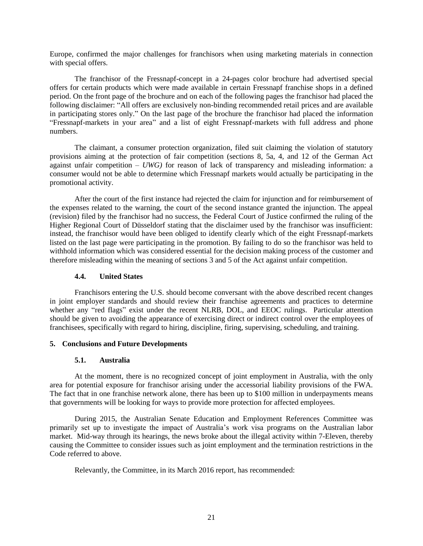Europe, confirmed the major challenges for franchisors when using marketing materials in connection with special offers.

The franchisor of the Fressnapf-concept in a 24-pages color brochure had advertised special offers for certain products which were made available in certain Fressnapf franchise shops in a defined period. On the front page of the brochure and on each of the following pages the franchisor had placed the following disclaimer: "All offers are exclusively non-binding recommended retail prices and are available in participating stores only." On the last page of the brochure the franchisor had placed the information "Fressnapf-markets in your area" and a list of eight Fressnapf-markets with full address and phone numbers.

The claimant, a consumer protection organization, filed suit claiming the violation of statutory provisions aiming at the protection of fair competition (sections 8, 5a, 4, and 12 of the German Act against unfair competition – *UWG)* for reason of lack of transparency and misleading information: a consumer would not be able to determine which Fressnapf markets would actually be participating in the promotional activity.

After the court of the first instance had rejected the claim for injunction and for reimbursement of the expenses related to the warning, the court of the second instance granted the injunction. The appeal (revision) filed by the franchisor had no success, the Federal Court of Justice confirmed the ruling of the Higher Regional Court of Düsseldorf stating that the disclaimer used by the franchisor was insufficient: instead, the franchisor would have been obliged to identify clearly which of the eight Fressnapf-markets listed on the last page were participating in the promotion. By failing to do so the franchisor was held to withhold information which was considered essential for the decision making process of the customer and therefore misleading within the meaning of sections 3 and 5 of the Act against unfair competition.

## **4.4. United States**

Franchisors entering the U.S. should become conversant with the above described recent changes in joint employer standards and should review their franchise agreements and practices to determine whether any "red flags" exist under the recent NLRB, DOL, and EEOC rulings. Particular attention should be given to avoiding the appearance of exercising direct or indirect control over the employees of franchisees, specifically with regard to hiring, discipline, firing, supervising, scheduling, and training.

#### **5. Conclusions and Future Developments**

## **5.1. Australia**

At the moment, there is no recognized concept of joint employment in Australia, with the only area for potential exposure for franchisor arising under the accessorial liability provisions of the FWA. The fact that in one franchise network alone, there has been up to \$100 million in underpayments means that governments will be looking for ways to provide more protection for affected employees.

During 2015, the Australian Senate Education and Employment References Committee was primarily set up to investigate the impact of Australia's work visa programs on the Australian labor market. Mid-way through its hearings, the news broke about the illegal activity within 7-Eleven, thereby causing the Committee to consider issues such as joint employment and the termination restrictions in the Code referred to above.

Relevantly, the Committee, in its March 2016 report, has recommended: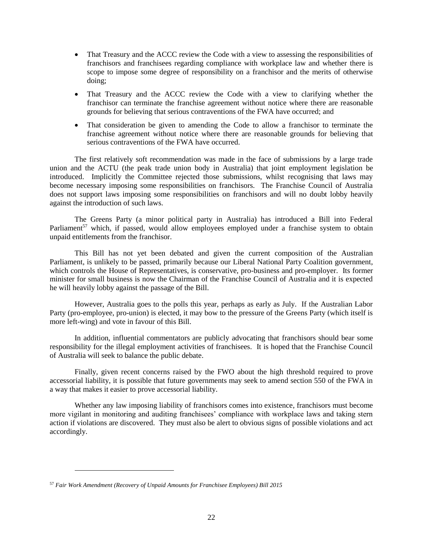- That Treasury and the ACCC review the Code with a view to assessing the responsibilities of franchisors and franchisees regarding compliance with workplace law and whether there is scope to impose some degree of responsibility on a franchisor and the merits of otherwise doing;
- That Treasury and the ACCC review the Code with a view to clarifying whether the franchisor can terminate the franchise agreement without notice where there are reasonable grounds for believing that serious contraventions of the FWA have occurred; and
- That consideration be given to amending the Code to allow a franchisor to terminate the franchise agreement without notice where there are reasonable grounds for believing that serious contraventions of the FWA have occurred.

The first relatively soft recommendation was made in the face of submissions by a large trade union and the ACTU (the peak trade union body in Australia) that joint employment legislation be introduced. Implicitly the Committee rejected those submissions, whilst recognising that laws may become necessary imposing some responsibilities on franchisors. The Franchise Council of Australia does not support laws imposing some responsibilities on franchisors and will no doubt lobby heavily against the introduction of such laws.

The Greens Party (a minor political party in Australia) has introduced a Bill into Federal Parliament<sup>57</sup> which, if passed, would allow employees employed under a franchise system to obtain unpaid entitlements from the franchisor.

This Bill has not yet been debated and given the current composition of the Australian Parliament, is unlikely to be passed, primarily because our Liberal National Party Coalition government, which controls the House of Representatives, is conservative, pro-business and pro-employer. Its former minister for small business is now the Chairman of the Franchise Council of Australia and it is expected he will heavily lobby against the passage of the Bill.

However, Australia goes to the polls this year, perhaps as early as July. If the Australian Labor Party (pro-employee, pro-union) is elected, it may bow to the pressure of the Greens Party (which itself is more left-wing) and vote in favour of this Bill.

In addition, influential commentators are publicly advocating that franchisors should bear some responsibility for the illegal employment activities of franchisees. It is hoped that the Franchise Council of Australia will seek to balance the public debate.

Finally, given recent concerns raised by the FWO about the high threshold required to prove accessorial liability, it is possible that future governments may seek to amend section 550 of the FWA in a way that makes it easier to prove accessorial liability.

Whether any law imposing liability of franchisors comes into existence, franchisors must become more vigilant in monitoring and auditing franchisees' compliance with workplace laws and taking stern action if violations are discovered. They must also be alert to obvious signs of possible violations and act accordingly.

<sup>57</sup> *Fair Work Amendment (Recovery of Unpaid Amounts for Franchisee Employees) Bill 2015*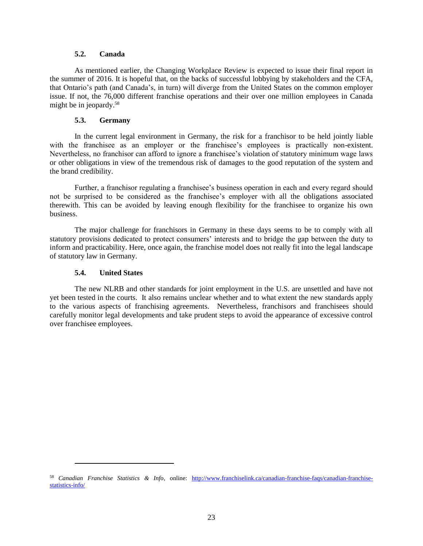### **5.2. Canada**

As mentioned earlier, the Changing Workplace Review is expected to issue their final report in the summer of 2016. It is hopeful that, on the backs of successful lobbying by stakeholders and the CFA, that Ontario's path (and Canada's, in turn) will diverge from the United States on the common employer issue. If not, the 76,000 different franchise operations and their over one million employees in Canada might be in jeopardy.<sup>58</sup>

## **5.3. Germany**

In the current legal environment in Germany, the risk for a franchisor to be held jointly liable with the franchisee as an employer or the franchisee's employees is practically non-existent. Nevertheless, no franchisor can afford to ignore a franchisee's violation of statutory minimum wage laws or other obligations in view of the tremendous risk of damages to the good reputation of the system and the brand credibility.

Further, a franchisor regulating a franchisee's business operation in each and every regard should not be surprised to be considered as the franchisee's employer with all the obligations associated therewith. This can be avoided by leaving enough flexibility for the franchisee to organize his own business.

The major challenge for franchisors in Germany in these days seems to be to comply with all statutory provisions dedicated to protect consumers' interests and to bridge the gap between the duty to inform and practicability. Here, once again, the franchise model does not really fit into the legal landscape of statutory law in Germany.

## **5.4. United States**

 $\overline{a}$ 

The new NLRB and other standards for joint employment in the U.S. are unsettled and have not yet been tested in the courts. It also remains unclear whether and to what extent the new standards apply to the various aspects of franchising agreements. Nevertheless, franchisors and franchisees should carefully monitor legal developments and take prudent steps to avoid the appearance of excessive control over franchisee employees.

<sup>58</sup> *Canadian Franchise Statistics & Info*, online: [http://www.franchiselink.ca/canadian-franchise-faqs/canadian-franchise](http://www.franchiselink.ca/canadian-franchise-faqs/canadian-franchise-statistics-info/)[statistics-info/](http://www.franchiselink.ca/canadian-franchise-faqs/canadian-franchise-statistics-info/)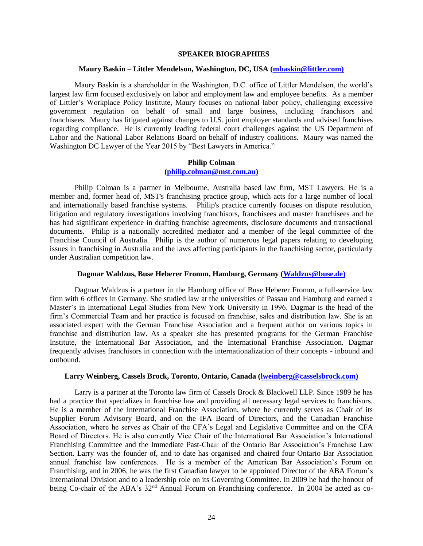#### **SPEAKER BIOGRAPHIES**

#### **Maury Baskin – Littler Mendelson, Washington, DC, USA [\(mbaskin@littler.com\)](mailto:mbaskin@littler.com))**

Maury Baskin is a shareholder in the Washington, D.C. office of Littler Mendelson, the world's largest law firm focused exclusively on labor and employment law and employee benefits. As a member of Littler's Workplace Policy Institute, Maury focuses on national labor policy, challenging excessive government regulation on behalf of small and large business, including franchisors and franchisees. Maury has litigated against changes to U.S. joint employer standards and advised franchises regarding compliance. He is currently leading federal court challenges against the US Department of Labor and the National Labor Relations Board on behalf of industry coalitions. Maury was named the Washington DC Lawyer of the Year 2015 by "Best Lawyers in America."

### **Philip Colman [\(philip.colman@mst.com.au\)](mailto:philip.colman@mst.com.au))**

Philip Colman is a partner in Melbourne, Australia based law firm, MST Lawyers. He is a member and, former head of, MST's franchising practice group, which acts for a large number of local and internationally based franchise systems. Philip's practice currently focuses on dispute resolution, litigation and regulatory investigations involving franchisors, franchisees and master franchisees and he has had significant experience in drafting franchise agreements, disclosure documents and transactional documents. Philip is a nationally accredited mediator and a member of the legal committee of the Franchise Council of Australia. Philip is the author of numerous legal papers relating to developing issues in franchising in Australia and the laws affecting participants in the franchising sector, particularly under Australian competition law.

#### **Dagmar Waldzus, Buse Heberer Fromm, Hamburg, Germany [\(Waldzus@buse.de\)](mailto:Waldzus@buse.de))**

Dagmar Waldzus is a partner in the Hamburg office of Buse Heberer Fromm, a full-service law firm with 6 offices in Germany. She studied law at the universities of Passau and Hamburg and earned a Master's in International Legal Studies from New York University in 1996. Dagmar is the head of the firm's Commercial Team and her practice is focused on franchise, sales and distribution law. She is an associated expert with the German Franchise Association and a frequent author on various topics in franchise and distribution law. As a speaker she has presented programs for the German Franchise Institute, the International Bar Association, and the International Franchise Association. Dagmar frequently advises franchisors in connection with the internationalization of their concepts - inbound and outbound.

#### **Larry Weinberg, Cassels Brock, Toronto, Ontario, Canada [\(lweinberg@casselsbrock.com\)](mailto:lweinberg@casselsbrock.com))**

Larry is a partner at the Toronto law firm of Cassels Brock & Blackwell LLP. Since 1989 he has had a practice that specializes in franchise law and providing all necessary legal services to franchisors. He is a member of the International Franchise Association, where he currently serves as Chair of its Supplier Forum Advisory Board, and on the IFA Board of Directors, and the Canadian Franchise Association, where he serves as Chair of the CFA's Legal and Legislative Committee and on the CFA Board of Directors. He is also currently Vice Chair of the International Bar Association's International Franchising Committee and the Immediate Past-Chair of the Ontario Bar Association's Franchise Law Section. Larry was the founder of, and to date has organised and chaired four Ontario Bar Association annual franchise law conferences. He is a member of the American Bar Association's Forum on Franchising, and in 2006, he was the first Canadian lawyer to be appointed Director of the ABA Forum's International Division and to a leadership role on its Governing Committee. In 2009 he had the honour of being Co-chair of the ABA's 32<sup>nd</sup> Annual Forum on Franchising conference. In 2004 he acted as co